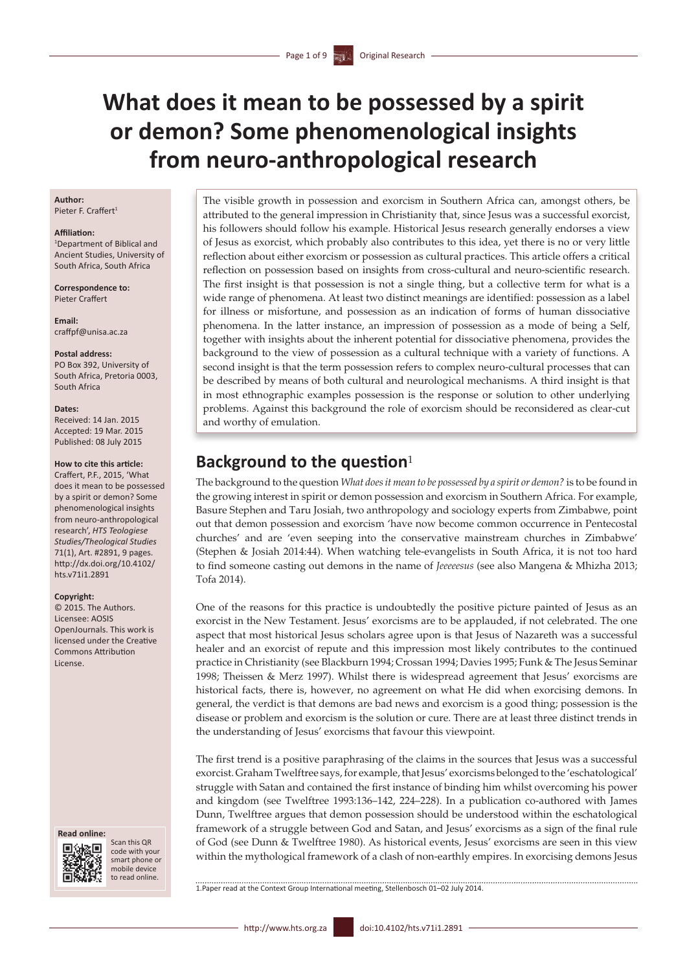# **What does it mean to be possessed by a spirit or demon? Some phenomenological insights from neuro-anthropological research**

### **Author:**

Pieter F. Craffert<sup>1</sup>

#### **Affiliation:**

1 Department of Biblical and Ancient Studies, University of South Africa, South Africa

**Correspondence to:** Pieter Craffert

**Email:** [craffpf@unisa.ac.za](mailto:craffpf@unisa.ac.za)

#### **Postal address:**

PO Box 392, University of South Africa, Pretoria 0003, South Africa

#### **Dates:**

Received: 14 Jan. 2015 Accepted: 19 Mar. 2015 Published: 08 July 2015

#### **How to cite this article:**

Craffert, P.F., 2015, 'What does it mean to be possessed by a spirit or demon? Some phenomenological insights from neuro-anthropological research', *HTS Teologiese Studies/Theological Studies* 71(1), Art. #2891, 9 pages. [http://dx.doi.org/10.4102/](http://dx.doi.org/10.4102/hts.v71i1.2891) [hts.v71i1.2891](http://dx.doi.org/10.4102/hts.v71i1.2891)

#### **Copyright:**

© 2015. The Authors. Licensee: AOSIS OpenJournals. This work is licensed under the Creative Commons Attribution License.

#### **Read online:**



Scan this QR code with your smart phone or mobile device to read online.

The visible growth in possession and exorcism in Southern Africa can, amongst others, be attributed to the general impression in Christianity that, since Jesus was a successful exorcist, his followers should follow his example. Historical Jesus research generally endorses a view of Jesus as exorcist, which probably also contributes to this idea, yet there is no or very little reflection about either exorcism or possession as cultural practices. This article offers a critical reflection on possession based on insights from cross-cultural and neuro-scientific research. The first insight is that possession is not a single thing, but a collective term for what is a wide range of phenomena. At least two distinct meanings are identified: possession as a label for illness or misfortune, and possession as an indication of forms of human dissociative phenomena. In the latter instance, an impression of possession as a mode of being a Self, together with insights about the inherent potential for dissociative phenomena, provides the background to the view of possession as a cultural technique with a variety of functions. A second insight is that the term possession refers to complex neuro-cultural processes that can be described by means of both cultural and neurological mechanisms. A third insight is that in most ethnographic examples possession is the response or solution to other underlying problems. Against this background the role of exorcism should be reconsidered as clear-cut and worthy of emulation.

### **Background to the question**<sup>1</sup>

The background to the question *What does it mean to be possessed by a spirit or demon?* is to be found in the growing interest in spirit or demon possession and exorcism in Southern Africa. For example, Basure Stephen and Taru Josiah, two anthropology and sociology experts from Zimbabwe, point out that demon possession and exorcism 'have now become common occurrence in Pentecostal churches' and are 'even seeping into the conservative mainstream churches in Zimbabwe' (Stephen & Josiah 2014:44). When watching tele-evangelists in South Africa, it is not too hard to find someone casting out demons in the name of *Jeeeeesus* (see also Mangena & Mhizha 2013; Tofa 2014).

One of the reasons for this practice is undoubtedly the positive picture painted of Jesus as an exorcist in the New Testament. Jesus' exorcisms are to be applauded, if not celebrated. The one aspect that most historical Jesus scholars agree upon is that Jesus of Nazareth was a successful healer and an exorcist of repute and this impression most likely contributes to the continued practice in Christianity (see Blackburn 1994; Crossan 1994; Davies 1995; Funk & The Jesus Seminar 1998; Theissen & Merz 1997). Whilst there is widespread agreement that Jesus' exorcisms are historical facts, there is, however, no agreement on what He did when exorcising demons. In general, the verdict is that demons are bad news and exorcism is a good thing; possession is the disease or problem and exorcism is the solution or cure. There are at least three distinct trends in the understanding of Jesus' exorcisms that favour this viewpoint.

The first trend is a positive paraphrasing of the claims in the sources that Jesus was a successful exorcist. Graham Twelftree says, for example, that Jesus' exorcisms belonged to the 'eschatological' struggle with Satan and contained the first instance of binding him whilst overcoming his power and kingdom (see Twelftree 1993:136–142, 224–228). In a publication co-authored with James Dunn, Twelftree argues that demon possession should be understood within the eschatological framework of a struggle between God and Satan, and Jesus' exorcisms as a sign of the final rule of God (see Dunn & Twelftree 1980). As historical events, Jesus' exorcisms are seen in this view within the mythological framework of a clash of non-earthly empires. In exorcising demons Jesus

1.Paper read at the Context Group International meeting, Stellenbosch 01–02 July 2014.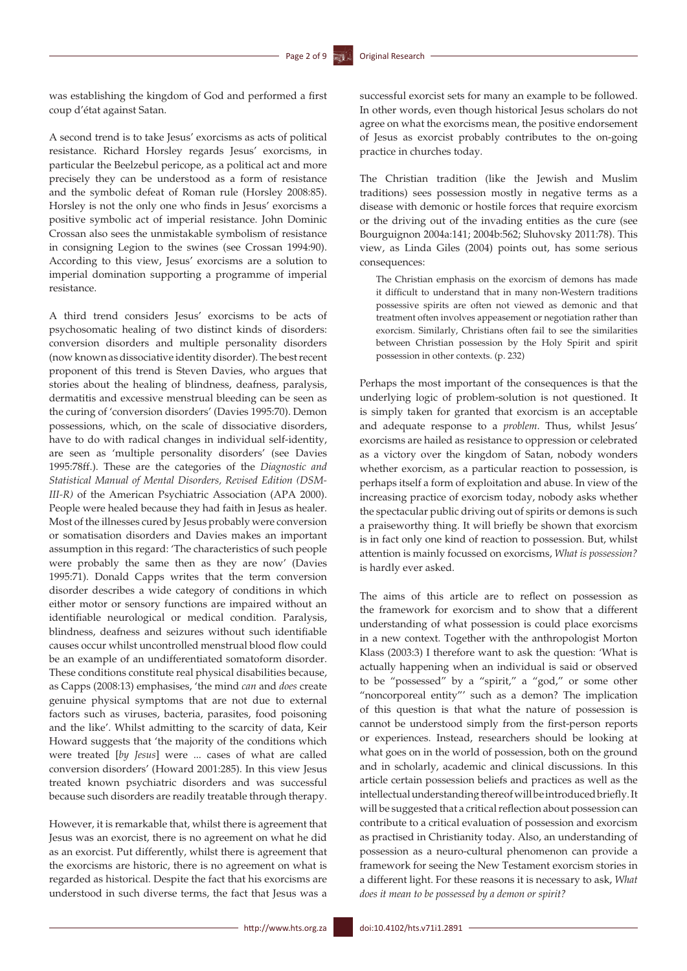was establishing the kingdom of God and performed a first coup d'état against Satan.

A second trend is to take Jesus' exorcisms as acts of political resistance. Richard Horsley regards Jesus' exorcisms, in particular the Beelzebul pericope, as a political act and more precisely they can be understood as a form of resistance and the symbolic defeat of Roman rule (Horsley 2008:85). Horsley is not the only one who finds in Jesus' exorcisms a positive symbolic act of imperial resistance. John Dominic Crossan also sees the unmistakable symbolism of resistance in consigning Legion to the swines (see Crossan 1994:90). According to this view, Jesus' exorcisms are a solution to imperial domination supporting a programme of imperial resistance.

A third trend considers Jesus' exorcisms to be acts of psychosomatic healing of two distinct kinds of disorders: conversion disorders and multiple personality disorders (now known as dissociative identity disorder). The best recent proponent of this trend is Steven Davies, who argues that stories about the healing of blindness, deafness, paralysis, dermatitis and excessive menstrual bleeding can be seen as the curing of 'conversion disorders' (Davies 1995:70). Demon possessions, which, on the scale of dissociative disorders, have to do with radical changes in individual self-identity, are seen as 'multiple personality disorders' (see Davies 1995:78ff.). These are the categories of the *Diagnostic and Statistical Manual of Mental Disorders, Revised Edition (DSM-III-R)* of the American Psychiatric Association (APA 2000). People were healed because they had faith in Jesus as healer. Most of the illnesses cured by Jesus probably were conversion or somatisation disorders and Davies makes an important assumption in this regard: 'The characteristics of such people were probably the same then as they are now' (Davies 1995:71). Donald Capps writes that the term conversion disorder describes a wide category of conditions in which either motor or sensory functions are impaired without an identifiable neurological or medical condition. Paralysis, blindness, deafness and seizures without such identifiable causes occur whilst uncontrolled menstrual blood flow could be an example of an undifferentiated somatoform disorder. These conditions constitute real physical disabilities because, as Capps (2008:13) emphasises, 'the mind *can* and *does* create genuine physical symptoms that are not due to external factors such as viruses, bacteria, parasites, food poisoning and the like'. Whilst admitting to the scarcity of data, Keir Howard suggests that 'the majority of the conditions which were treated [*by Jesus*] were ... cases of what are called conversion disorders' (Howard 2001:285). In this view Jesus treated known psychiatric disorders and was successful because such disorders are readily treatable through therapy.

However, it is remarkable that, whilst there is agreement that Jesus was an exorcist, there is no agreement on what he did as an exorcist. Put differently, whilst there is agreement that the exorcisms are historic, there is no agreement on what is regarded as historical. Despite the fact that his exorcisms are understood in such diverse terms, the fact that Jesus was a

successful exorcist sets for many an example to be followed. In other words, even though historical Jesus scholars do not agree on what the exorcisms mean, the positive endorsement of Jesus as exorcist probably contributes to the on-going practice in churches today.

The Christian tradition (like the Jewish and Muslim traditions) sees possession mostly in negative terms as a disease with demonic or hostile forces that require exorcism or the driving out of the invading entities as the cure (see Bourguignon 2004a:141; 2004b:562; Sluhovsky 2011:78). This view, as Linda Giles (2004) points out, has some serious consequences:

The Christian emphasis on the exorcism of demons has made it difficult to understand that in many non-Western traditions possessive spirits are often not viewed as demonic and that treatment often involves appeasement or negotiation rather than exorcism. Similarly, Christians often fail to see the similarities between Christian possession by the Holy Spirit and spirit possession in other contexts. (p. 232)

Perhaps the most important of the consequences is that the underlying logic of problem-solution is not questioned. It is simply taken for granted that exorcism is an acceptable and adequate response to a *problem*. Thus, whilst Jesus' exorcisms are hailed as resistance to oppression or celebrated as a victory over the kingdom of Satan, nobody wonders whether exorcism, as a particular reaction to possession, is perhaps itself a form of exploitation and abuse. In view of the increasing practice of exorcism today, nobody asks whether the spectacular public driving out of spirits or demons is such a praiseworthy thing. It will briefly be shown that exorcism is in fact only one kind of reaction to possession. But, whilst attention is mainly focussed on exorcisms, *What is possession?* is hardly ever asked.

The aims of this article are to reflect on possession as the framework for exorcism and to show that a different understanding of what possession is could place exorcisms in a new context. Together with the anthropologist Morton Klass (2003:3) I therefore want to ask the question: 'What is actually happening when an individual is said or observed to be "possessed" by a "spirit," a "god," or some other "noncorporeal entity"' such as a demon? The implication of this question is that what the nature of possession is cannot be understood simply from the first-person reports or experiences. Instead, researchers should be looking at what goes on in the world of possession, both on the ground and in scholarly, academic and clinical discussions. In this article certain possession beliefs and practices as well as the intellectual understanding thereof will be introduced briefly. It will be suggested that a critical reflection about possession can contribute to a critical evaluation of possession and exorcism as practised in Christianity today. Also, an understanding of possession as a neuro-cultural phenomenon can provide a framework for seeing the New Testament exorcism stories in a different light. For these reasons it is necessary to ask, *What does it mean to be possessed by a demon or spirit?*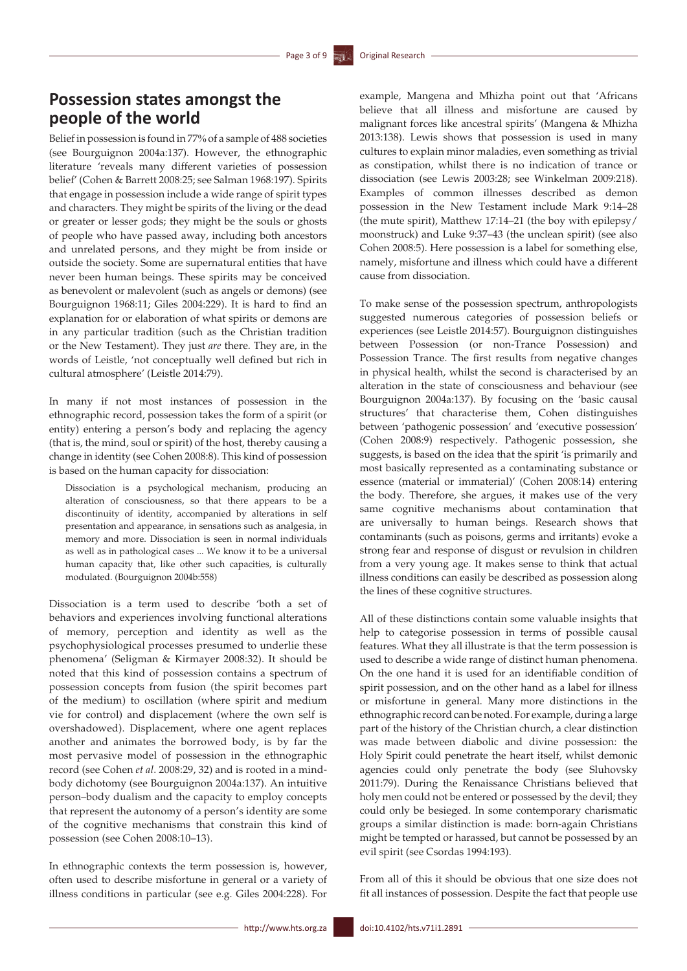### **Possession states amongst the people of the world**

Belief in possession is found in 77% of a sample of 488 societies (see Bourguignon 2004a:137). However, the ethnographic literature 'reveals many different varieties of possession belief' (Cohen & Barrett 2008:25; see Salman 1968:197). Spirits that engage in possession include a wide range of spirit types and characters. They might be spirits of the living or the dead or greater or lesser gods; they might be the souls or ghosts of people who have passed away, including both ancestors and unrelated persons, and they might be from inside or outside the society. Some are supernatural entities that have never been human beings. These spirits may be conceived as benevolent or malevolent (such as angels or demons) (see Bourguignon 1968:11; Giles 2004:229). It is hard to find an explanation for or elaboration of what spirits or demons are in any particular tradition (such as the Christian tradition or the New Testament). They just *are* there. They are, in the words of Leistle, 'not conceptually well defined but rich in cultural atmosphere' (Leistle 2014:79).

In many if not most instances of possession in the ethnographic record, possession takes the form of a spirit (or entity) entering a person's body and replacing the agency (that is, the mind, soul or spirit) of the host, thereby causing a change in identity (see Cohen 2008:8). This kind of possession is based on the human capacity for dissociation:

Dissociation is a psychological mechanism, producing an alteration of consciousness, so that there appears to be a discontinuity of identity, accompanied by alterations in self presentation and appearance, in sensations such as analgesia, in memory and more. Dissociation is seen in normal individuals as well as in pathological cases ... We know it to be a universal human capacity that, like other such capacities, is culturally modulated. (Bourguignon 2004b:558)

Dissociation is a term used to describe 'both a set of behaviors and experiences involving functional alterations of memory, perception and identity as well as the psychophysiological processes presumed to underlie these phenomena' (Seligman & Kirmayer 2008:32). It should be noted that this kind of possession contains a spectrum of possession concepts from fusion (the spirit becomes part of the medium) to oscillation (where spirit and medium vie for control) and displacement (where the own self is overshadowed). Displacement, where one agent replaces another and animates the borrowed body, is by far the most pervasive model of possession in the ethnographic record (see Cohen *et al*. 2008:29, 32) and is rooted in a mindbody dichotomy (see Bourguignon 2004a:137). An intuitive person–body dualism and the capacity to employ concepts that represent the autonomy of a person's identity are some of the cognitive mechanisms that constrain this kind of possession (see Cohen 2008:10–13).

In ethnographic contexts the term possession is, however, often used to describe misfortune in general or a variety of illness conditions in particular (see e.g. Giles 2004:228). For example, Mangena and Mhizha point out that 'Africans believe that all illness and misfortune are caused by malignant forces like ancestral spirits' (Mangena & Mhizha 2013:138). Lewis shows that possession is used in many cultures to explain minor maladies, even something as trivial as constipation, whilst there is no indication of trance or dissociation (see Lewis 2003:28; see Winkelman 2009:218). Examples of common illnesses described as demon possession in the New Testament include Mark 9:14–28 (the mute spirit), Matthew 17:14–21 (the boy with epilepsy/ moonstruck) and Luke 9:37–43 (the unclean spirit) (see also Cohen 2008:5). Here possession is a label for something else, namely, misfortune and illness which could have a different cause from dissociation.

To make sense of the possession spectrum, anthropologists suggested numerous categories of possession beliefs or experiences (see Leistle 2014:57). Bourguignon distinguishes between Possession (or non-Trance Possession) and Possession Trance. The first results from negative changes in physical health, whilst the second is characterised by an alteration in the state of consciousness and behaviour (see Bourguignon 2004a:137). By focusing on the 'basic causal structures' that characterise them, Cohen distinguishes between 'pathogenic possession' and 'executive possession' (Cohen 2008:9) respectively. Pathogenic possession, she suggests, is based on the idea that the spirit 'is primarily and most basically represented as a contaminating substance or essence (material or immaterial)' (Cohen 2008:14) entering the body. Therefore, she argues, it makes use of the very same cognitive mechanisms about contamination that are universally to human beings. Research shows that contaminants (such as poisons, germs and irritants) evoke a strong fear and response of disgust or revulsion in children from a very young age. It makes sense to think that actual illness conditions can easily be described as possession along the lines of these cognitive structures.

All of these distinctions contain some valuable insights that help to categorise possession in terms of possible causal features. What they all illustrate is that the term possession is used to describe a wide range of distinct human phenomena. On the one hand it is used for an identifiable condition of spirit possession, and on the other hand as a label for illness or misfortune in general. Many more distinctions in the ethnographic record can be noted. For example, during a large part of the history of the Christian church, a clear distinction was made between diabolic and divine possession: the Holy Spirit could penetrate the heart itself, whilst demonic agencies could only penetrate the body (see Sluhovsky 2011:79). During the Renaissance Christians believed that holy men could not be entered or possessed by the devil; they could only be besieged. In some contemporary charismatic groups a similar distinction is made: born-again Christians might be tempted or harassed, but cannot be possessed by an evil spirit (see Csordas 1994:193).

From all of this it should be obvious that one size does not fit all instances of possession. Despite the fact that people use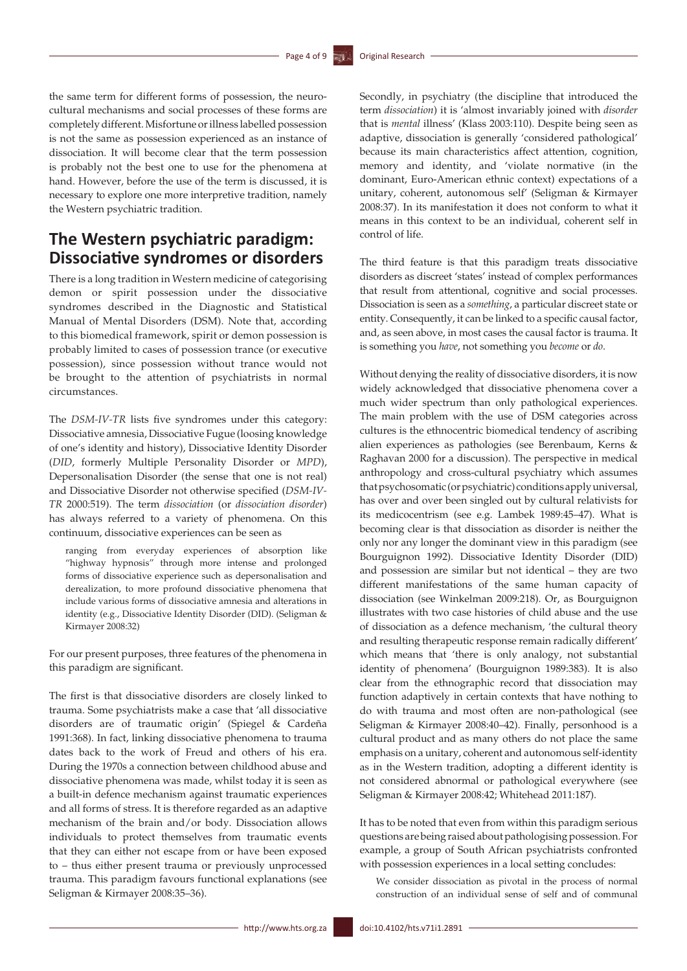the same term for different forms of possession, the neurocultural mechanisms and social processes of these forms are completely different. Misfortune or illness labelled possession is not the same as possession experienced as an instance of dissociation. It will become clear that the term possession is probably not the best one to use for the phenomena at hand. However, before the use of the term is discussed, it is necessary to explore one more interpretive tradition, namely the Western psychiatric tradition.

## **The Western psychiatric paradigm: Dissociative syndromes or disorders**

There is a long tradition in Western medicine of categorising demon or spirit possession under the dissociative syndromes described in the Diagnostic and Statistical Manual of Mental Disorders (DSM). Note that, according to this biomedical framework, spirit or demon possession is probably limited to cases of possession trance (or executive possession), since possession without trance would not be brought to the attention of psychiatrists in normal circumstances.

The *DSM-IV-TR* lists five syndromes under this category: Dissociative amnesia, Dissociative Fugue (loosing knowledge of one's identity and history), Dissociative Identity Disorder (*DID*, formerly Multiple Personality Disorder or *MPD*), Depersonalisation Disorder (the sense that one is not real) and Dissociative Disorder not otherwise specified (*DSM-IV-TR* 2000:519). The term *dissociation* (or *dissociation disorder*) has always referred to a variety of phenomena. On this continuum, dissociative experiences can be seen as

ranging from everyday experiences of absorption like "highway hypnosis" through more intense and prolonged forms of dissociative experience such as depersonalisation and derealization, to more profound dissociative phenomena that include various forms of dissociative amnesia and alterations in identity (e.g., Dissociative Identity Disorder (DID). (Seligman & Kirmayer 2008:32)

For our present purposes, three features of the phenomena in this paradigm are significant.

The first is that dissociative disorders are closely linked to trauma. Some psychiatrists make a case that 'all dissociative disorders are of traumatic origin' (Spiegel & Cardeña 1991:368). In fact, linking dissociative phenomena to trauma dates back to the work of Freud and others of his era. During the 1970s a connection between childhood abuse and dissociative phenomena was made, whilst today it is seen as a built-in defence mechanism against traumatic experiences and all forms of stress. It is therefore regarded as an adaptive mechanism of the brain and/or body. Dissociation allows individuals to protect themselves from traumatic events that they can either not escape from or have been exposed to – thus either present trauma or previously unprocessed trauma. This paradigm favours functional explanations (see Seligman & Kirmayer 2008:35–36).

Secondly, in psychiatry (the discipline that introduced the term *dissociation*) it is 'almost invariably joined with *disorder* that is *mental* illness' (Klass 2003:110). Despite being seen as adaptive, dissociation is generally 'considered pathological' because its main characteristics affect attention, cognition, memory and identity, and 'violate normative (in the dominant, Euro-American ethnic context) expectations of a unitary, coherent, autonomous self' (Seligman & Kirmayer 2008:37). In its manifestation it does not conform to what it means in this context to be an individual, coherent self in control of life.

The third feature is that this paradigm treats dissociative disorders as discreet 'states' instead of complex performances that result from attentional, cognitive and social processes. Dissociation is seen as a *something*, a particular discreet state or entity. Consequently, it can be linked to a specific causal factor, and, as seen above, in most cases the causal factor is trauma. It is something you *have*, not something you *become* or *do*.

Without denying the reality of dissociative disorders, it is now widely acknowledged that dissociative phenomena cover a much wider spectrum than only pathological experiences. The main problem with the use of DSM categories across cultures is the ethnocentric biomedical tendency of ascribing alien experiences as pathologies (see Berenbaum, Kerns & Raghavan 2000 for a discussion). The perspective in medical anthropology and cross-cultural psychiatry which assumes that psychosomatic (or psychiatric) conditions apply universal, has over and over been singled out by cultural relativists for its medicocentrism (see e.g. Lambek 1989:45–47). What is becoming clear is that dissociation as disorder is neither the only nor any longer the dominant view in this paradigm (see Bourguignon 1992). Dissociative Identity Disorder (DID) and possession are similar but not identical – they are two different manifestations of the same human capacity of dissociation (see Winkelman 2009:218). Or, as Bourguignon illustrates with two case histories of child abuse and the use of dissociation as a defence mechanism, 'the cultural theory and resulting therapeutic response remain radically different' which means that 'there is only analogy, not substantial identity of phenomena' (Bourguignon 1989:383). It is also clear from the ethnographic record that dissociation may function adaptively in certain contexts that have nothing to do with trauma and most often are non-pathological (see Seligman & Kirmayer 2008:40–42). Finally, personhood is a cultural product and as many others do not place the same emphasis on a unitary, coherent and autonomous self-identity as in the Western tradition, adopting a different identity is not considered abnormal or pathological everywhere (see Seligman & Kirmayer 2008:42; Whitehead 2011:187).

It has to be noted that even from within this paradigm serious questions are being raised about pathologising possession. For example, a group of South African psychiatrists confronted with possession experiences in a local setting concludes:

We consider dissociation as pivotal in the process of normal construction of an individual sense of self and of communal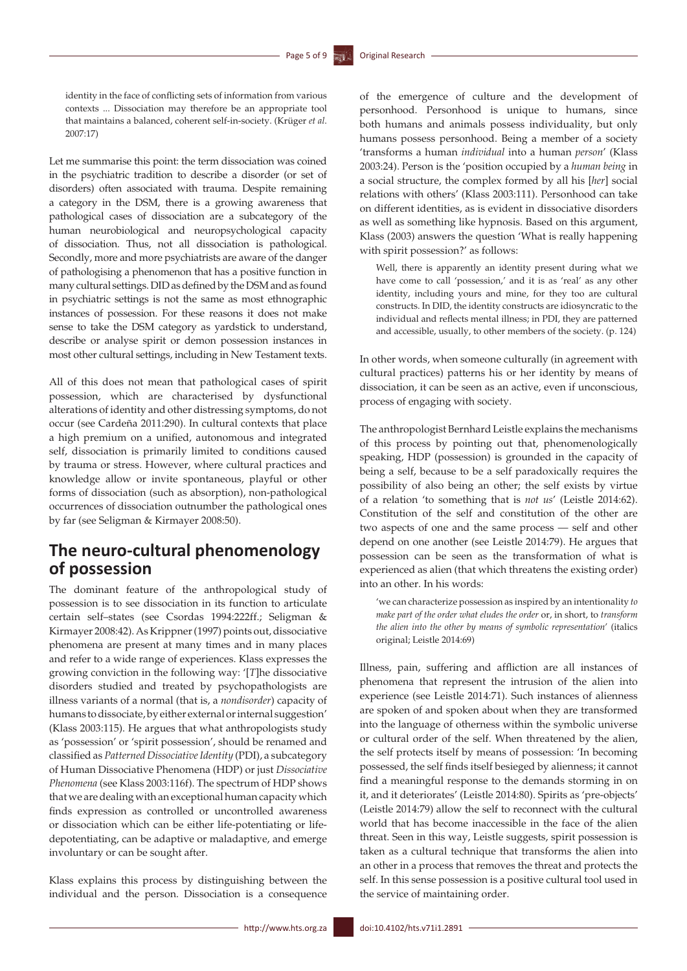identity in the face of conflicting sets of information from various contexts ... Dissociation may therefore be an appropriate tool that maintains a balanced, coherent self-in-society. (Krüger *et al*. 2007:17)

Let me summarise this point: the term dissociation was coined in the psychiatric tradition to describe a disorder (or set of disorders) often associated with trauma. Despite remaining a category in the DSM, there is a growing awareness that pathological cases of dissociation are a subcategory of the human neurobiological and neuropsychological capacity of dissociation. Thus, not all dissociation is pathological. Secondly, more and more psychiatrists are aware of the danger of pathologising a phenomenon that has a positive function in many cultural settings. DID as defined by the DSM and as found in psychiatric settings is not the same as most ethnographic instances of possession. For these reasons it does not make sense to take the DSM category as yardstick to understand, describe or analyse spirit or demon possession instances in most other cultural settings, including in New Testament texts.

All of this does not mean that pathological cases of spirit possession, which are characterised by dysfunctional alterations of identity and other distressing symptoms, do not occur (see Cardeña 2011:290). In cultural contexts that place a high premium on a unified, autonomous and integrated self, dissociation is primarily limited to conditions caused by trauma or stress. However, where cultural practices and knowledge allow or invite spontaneous, playful or other forms of dissociation (such as absorption), non-pathological occurrences of dissociation outnumber the pathological ones by far (see Seligman & Kirmayer 2008:50).

# **The neuro-cultural phenomenology of possession**

The dominant feature of the anthropological study of possession is to see dissociation in its function to articulate certain self–states (see Csordas 1994:222ff.; Seligman & Kirmayer 2008:42). As Krippner (1997) points out, dissociative phenomena are present at many times and in many places and refer to a wide range of experiences. Klass expresses the growing conviction in the following way: '[*T*]he dissociative disorders studied and treated by psychopathologists are illness variants of a normal (that is, a *nondisorder*) capacity of humans to dissociate, by either external or internal suggestion' (Klass 2003:115). He argues that what anthropologists study as 'possession' or 'spirit possession', should be renamed and classified as *Patterned Dissociative Identity* (PDI), a subcategory of Human Dissociative Phenomena (HDP) or just *Dissociative Phenomena* (see Klass 2003:116f). The spectrum of HDP shows that we are dealing with an exceptional human capacity which finds expression as controlled or uncontrolled awareness or dissociation which can be either life-potentiating or lifedepotentiating, can be adaptive or maladaptive, and emerge involuntary or can be sought after.

Klass explains this process by distinguishing between the individual and the person. Dissociation is a consequence

of the emergence of culture and the development of personhood. Personhood is unique to humans, since both humans and animals possess individuality, but only humans possess personhood. Being a member of a society 'transforms a human *individual* into a human *person*' (Klass 2003:24). Person is the 'position occupied by a *human being* in a social structure, the complex formed by all his [*her*] social relations with others' (Klass 2003:111). Personhood can take on different identities, as is evident in dissociative disorders as well as something like hypnosis. Based on this argument, Klass (2003) answers the question 'What is really happening with spirit possession?' as follows:

Well, there is apparently an identity present during what we have come to call 'possession,' and it is as 'real' as any other identity, including yours and mine, for they too are cultural constructs. In DID, the identity constructs are idiosyncratic to the individual and reflects mental illness; in PDI, they are patterned and accessible, usually, to other members of the society. (p. 124)

In other words, when someone culturally (in agreement with cultural practices) patterns his or her identity by means of dissociation, it can be seen as an active, even if unconscious, process of engaging with society.

The anthropologist Bernhard Leistle explains the mechanisms of this process by pointing out that, phenomenologically speaking, HDP (possession) is grounded in the capacity of being a self, because to be a self paradoxically requires the possibility of also being an other; the self exists by virtue of a relation 'to something that is *not us*' (Leistle 2014:62). Constitution of the self and constitution of the other are two aspects of one and the same process — self and other depend on one another (see Leistle 2014:79). He argues that possession can be seen as the transformation of what is experienced as alien (that which threatens the existing order) into an other. In his words:

'we can characterize possession as inspired by an intentionality *to make part of the order what eludes the order* or, in short, to *transform the alien into the other by means of symbolic representation*' (italics original; Leistle 2014:69)

Illness, pain, suffering and affliction are all instances of phenomena that represent the intrusion of the alien into experience (see Leistle 2014:71). Such instances of alienness are spoken of and spoken about when they are transformed into the language of otherness within the symbolic universe or cultural order of the self. When threatened by the alien, the self protects itself by means of possession: 'In becoming possessed, the self finds itself besieged by alienness; it cannot find a meaningful response to the demands storming in on it, and it deteriorates' (Leistle 2014:80). Spirits as 'pre-objects' (Leistle 2014:79) allow the self to reconnect with the cultural world that has become inaccessible in the face of the alien threat. Seen in this way, Leistle suggests, spirit possession is taken as a cultural technique that transforms the alien into an other in a process that removes the threat and protects the self. In this sense possession is a positive cultural tool used in the service of maintaining order.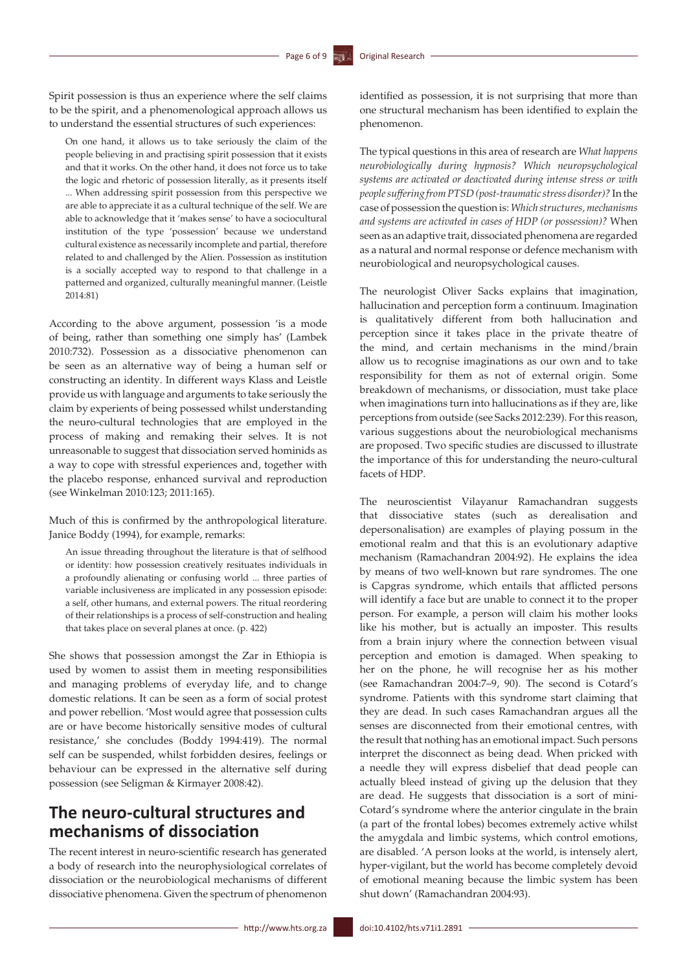Spirit possession is thus an experience where the self claims to be the spirit, and a phenomenological approach allows us to understand the essential structures of such experiences:

On one hand, it allows us to take seriously the claim of the people believing in and practising spirit possession that it exists and that it works. On the other hand, it does not force us to take the logic and rhetoric of possession literally, as it presents itself ... When addressing spirit possession from this perspective we are able to appreciate it as a cultural technique of the self. We are able to acknowledge that it 'makes sense' to have a sociocultural institution of the type 'possession' because we understand cultural existence as necessarily incomplete and partial, therefore related to and challenged by the Alien. Possession as institution is a socially accepted way to respond to that challenge in a patterned and organized, culturally meaningful manner. (Leistle 2014:81)

According to the above argument, possession 'is a mode of being, rather than something one simply has' (Lambek 2010:732). Possession as a dissociative phenomenon can be seen as an alternative way of being a human self or constructing an identity. In different ways Klass and Leistle provide us with language and arguments to take seriously the claim by experients of being possessed whilst understanding the neuro-cultural technologies that are employed in the process of making and remaking their selves. It is not unreasonable to suggest that dissociation served hominids as a way to cope with stressful experiences and, together with the placebo response, enhanced survival and reproduction (see Winkelman 2010:123; 2011:165).

Much of this is confirmed by the anthropological literature. Janice Boddy (1994), for example, remarks:

An issue threading throughout the literature is that of selfhood or identity: how possession creatively resituates individuals in a profoundly alienating or confusing world ... three parties of variable inclusiveness are implicated in any possession episode: a self, other humans, and external powers. The ritual reordering of their relationships is a process of self-construction and healing that takes place on several planes at once. (p. 422)

She shows that possession amongst the Zar in Ethiopia is used by women to assist them in meeting responsibilities and managing problems of everyday life, and to change domestic relations. It can be seen as a form of social protest and power rebellion. 'Most would agree that possession cults are or have become historically sensitive modes of cultural resistance,' she concludes (Boddy 1994:419). The normal self can be suspended, whilst forbidden desires, feelings or behaviour can be expressed in the alternative self during possession (see Seligman & Kirmayer 2008:42).

# **The neuro-cultural structures and mechanisms of dissociation**

The recent interest in neuro-scientific research has generated a body of research into the neurophysiological correlates of dissociation or the neurobiological mechanisms of different dissociative phenomena. Given the spectrum of phenomenon

identified as possession, it is not surprising that more than one structural mechanism has been identified to explain the phenomenon.

The typical questions in this area of research are *What happens neurobiologically during hypnosis? Which neuropsychological systems are activated or deactivated during intense stress or with people suffering from PTSD (post-traumatic stress disorder)?* In the case of possession the question is: *Which structures, mechanisms and systems are activated in cases of HDP (or possession)?* When seen as an adaptive trait, dissociated phenomena are regarded as a natural and normal response or defence mechanism with neurobiological and neuropsychological causes.

The neurologist Oliver Sacks explains that imagination, hallucination and perception form a continuum. Imagination is qualitatively different from both hallucination and perception since it takes place in the private theatre of the mind, and certain mechanisms in the mind/brain allow us to recognise imaginations as our own and to take responsibility for them as not of external origin. Some breakdown of mechanisms, or dissociation, must take place when imaginations turn into hallucinations as if they are, like perceptions from outside (see Sacks 2012:239). For this reason, various suggestions about the neurobiological mechanisms are proposed. Two specific studies are discussed to illustrate the importance of this for understanding the neuro-cultural facets of HDP.

The neuroscientist Vilayanur Ramachandran suggests that dissociative states (such as derealisation and depersonalisation) are examples of playing possum in the emotional realm and that this is an evolutionary adaptive mechanism (Ramachandran 2004:92). He explains the idea by means of two well-known but rare syndromes. The one is Capgras syndrome, which entails that afflicted persons will identify a face but are unable to connect it to the proper person. For example, a person will claim his mother looks like his mother, but is actually an imposter. This results from a brain injury where the connection between visual perception and emotion is damaged. When speaking to her on the phone, he will recognise her as his mother (see Ramachandran 2004:7–9, 90). The second is Cotard's syndrome. Patients with this syndrome start claiming that they are dead. In such cases Ramachandran argues all the senses are disconnected from their emotional centres, with the result that nothing has an emotional impact. Such persons interpret the disconnect as being dead. When pricked with a needle they will express disbelief that dead people can actually bleed instead of giving up the delusion that they are dead. He suggests that dissociation is a sort of mini-Cotard's syndrome where the anterior cingulate in the brain (a part of the frontal lobes) becomes extremely active whilst the amygdala and limbic systems, which control emotions, are disabled. 'A person looks at the world, is intensely alert, hyper-vigilant, but the world has become completely devoid of emotional meaning because the limbic system has been shut down' (Ramachandran 2004:93).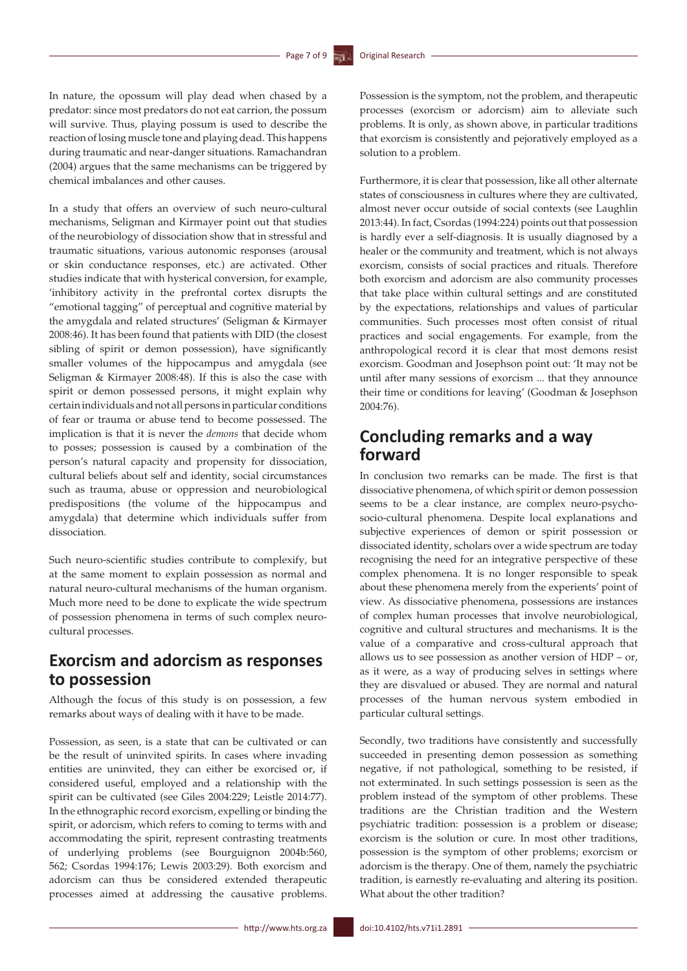In nature, the opossum will play dead when chased by a predator: since most predators do not eat carrion, the possum will survive. Thus, playing possum is used to describe the reaction of losing muscle tone and playing dead. This happens during traumatic and near-danger situations. Ramachandran (2004) argues that the same mechanisms can be triggered by chemical imbalances and other causes.

In a study that offers an overview of such neuro-cultural mechanisms, Seligman and Kirmayer point out that studies of the neurobiology of dissociation show that in stressful and traumatic situations, various autonomic responses (arousal or skin conductance responses, etc.) are activated. Other studies indicate that with hysterical conversion, for example, 'inhibitory activity in the prefrontal cortex disrupts the "emotional tagging" of perceptual and cognitive material by the amygdala and related structures' (Seligman & Kirmayer 2008:46). It has been found that patients with DID (the closest sibling of spirit or demon possession), have significantly smaller volumes of the hippocampus and amygdala (see Seligman & Kirmayer 2008:48). If this is also the case with spirit or demon possessed persons, it might explain why certain individuals and not all persons in particular conditions of fear or trauma or abuse tend to become possessed. The implication is that it is never the *demons* that decide whom to posses; possession is caused by a combination of the person's natural capacity and propensity for dissociation, cultural beliefs about self and identity, social circumstances such as trauma, abuse or oppression and neurobiological predispositions (the volume of the hippocampus and amygdala) that determine which individuals suffer from dissociation.

Such neuro-scientific studies contribute to complexify, but at the same moment to explain possession as normal and natural neuro-cultural mechanisms of the human organism. Much more need to be done to explicate the wide spectrum of possession phenomena in terms of such complex neurocultural processes.

## **Exorcism and adorcism as responses to possession**

Although the focus of this study is on possession, a few remarks about ways of dealing with it have to be made.

Possession, as seen, is a state that can be cultivated or can be the result of uninvited spirits. In cases where invading entities are uninvited, they can either be exorcised or, if considered useful, employed and a relationship with the spirit can be cultivated (see Giles 2004:229; Leistle 2014:77). In the ethnographic record exorcism, expelling or binding the spirit, or adorcism, which refers to coming to terms with and accommodating the spirit, represent contrasting treatments of underlying problems (see Bourguignon 2004b:560, 562; Csordas 1994:176; Lewis 2003:29). Both exorcism and adorcism can thus be considered extended therapeutic processes aimed at addressing the causative problems.

Possession is the symptom, not the problem, and therapeutic processes (exorcism or adorcism) aim to alleviate such problems. It is only, as shown above, in particular traditions that exorcism is consistently and pejoratively employed as a solution to a problem.

Furthermore, it is clear that possession, like all other alternate states of consciousness in cultures where they are cultivated, almost never occur outside of social contexts (see Laughlin 2013:44). In fact, Csordas (1994:224) points out that possession is hardly ever a self-diagnosis. It is usually diagnosed by a healer or the community and treatment, which is not always exorcism, consists of social practices and rituals. Therefore both exorcism and adorcism are also community processes that take place within cultural settings and are constituted by the expectations, relationships and values of particular communities. Such processes most often consist of ritual practices and social engagements. For example, from the anthropological record it is clear that most demons resist exorcism. Goodman and Josephson point out: 'It may not be until after many sessions of exorcism ... that they announce their time or conditions for leaving' (Goodman & Josephson 2004:76).

### **Concluding remarks and a way forward**

In conclusion two remarks can be made. The first is that dissociative phenomena, of which spirit or demon possession seems to be a clear instance, are complex neuro-psychosocio-cultural phenomena. Despite local explanations and subjective experiences of demon or spirit possession or dissociated identity, scholars over a wide spectrum are today recognising the need for an integrative perspective of these complex phenomena. It is no longer responsible to speak about these phenomena merely from the experients' point of view. As dissociative phenomena, possessions are instances of complex human processes that involve neurobiological, cognitive and cultural structures and mechanisms. It is the value of a comparative and cross-cultural approach that allows us to see possession as another version of  $HDP - or$ , as it were, as a way of producing selves in settings where they are disvalued or abused. They are normal and natural processes of the human nervous system embodied in particular cultural settings.

Secondly, two traditions have consistently and successfully succeeded in presenting demon possession as something negative, if not pathological, something to be resisted, if not exterminated. In such settings possession is seen as the problem instead of the symptom of other problems. These traditions are the Christian tradition and the Western psychiatric tradition: possession is a problem or disease; exorcism is the solution or cure. In most other traditions, possession is the symptom of other problems; exorcism or adorcism is the therapy. One of them, namely the psychiatric tradition, is earnestly re-evaluating and altering its position. What about the other tradition?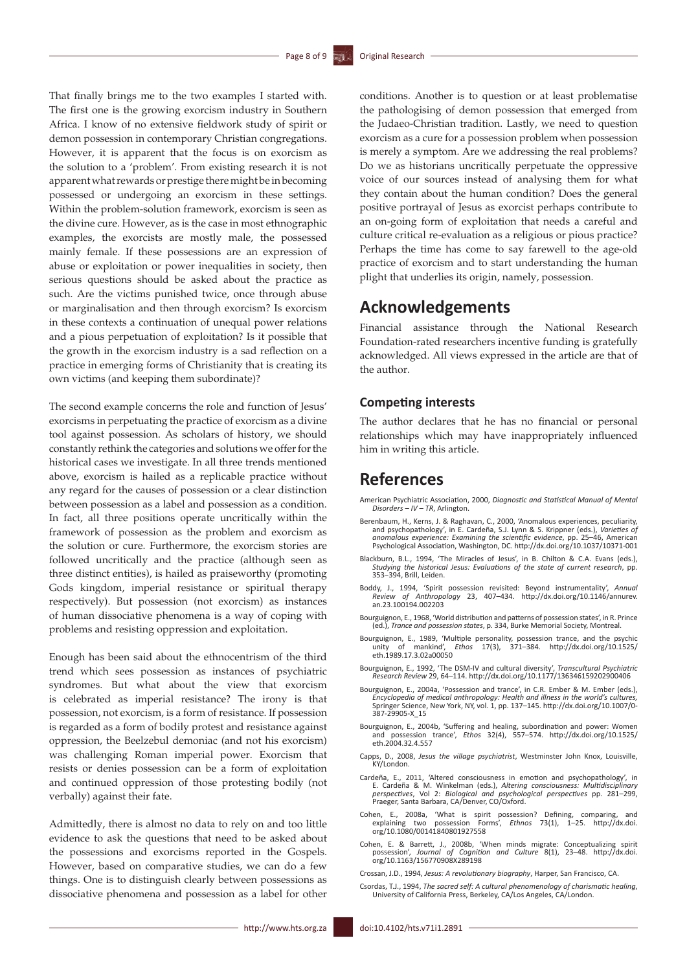That finally brings me to the two examples I started with. The first one is the growing exorcism industry in Southern Africa. I know of no extensive fieldwork study of spirit or demon possession in contemporary Christian congregations. However, it is apparent that the focus is on exorcism as the solution to a 'problem'. From existing research it is not apparent what rewards or prestige there might be in becoming possessed or undergoing an exorcism in these settings. Within the problem-solution framework, exorcism is seen as the divine cure. However, as is the case in most ethnographic examples, the exorcists are mostly male, the possessed mainly female. If these possessions are an expression of abuse or exploitation or power inequalities in society, then serious questions should be asked about the practice as such. Are the victims punished twice, once through abuse or marginalisation and then through exorcism? Is exorcism in these contexts a continuation of unequal power relations and a pious perpetuation of exploitation? Is it possible that the growth in the exorcism industry is a sad reflection on a practice in emerging forms of Christianity that is creating its own victims (and keeping them subordinate)?

The second example concerns the role and function of Jesus' exorcisms in perpetuating the practice of exorcism as a divine tool against possession. As scholars of history, we should constantly rethink the categories and solutions we offer for the historical cases we investigate. In all three trends mentioned above, exorcism is hailed as a replicable practice without any regard for the causes of possession or a clear distinction between possession as a label and possession as a condition. In fact, all three positions operate uncritically within the framework of possession as the problem and exorcism as the solution or cure. Furthermore, the exorcism stories are followed uncritically and the practice (although seen as three distinct entities), is hailed as praiseworthy (promoting Gods kingdom, imperial resistance or spiritual therapy respectively). But possession (not exorcism) as instances of human dissociative phenomena is a way of coping with problems and resisting oppression and exploitation.

Enough has been said about the ethnocentrism of the third trend which sees possession as instances of psychiatric syndromes. But what about the view that exorcism is celebrated as imperial resistance? The irony is that possession, not exorcism, is a form of resistance. If possession is regarded as a form of bodily protest and resistance against oppression, the Beelzebul demoniac (and not his exorcism) was challenging Roman imperial power. Exorcism that resists or denies possession can be a form of exploitation and continued oppression of those protesting bodily (not verbally) against their fate.

Admittedly, there is almost no data to rely on and too little evidence to ask the questions that need to be asked about the possessions and exorcisms reported in the Gospels. However, based on comparative studies, we can do a few things. One is to distinguish clearly between possessions as dissociative phenomena and possession as a label for other conditions. Another is to question or at least problematise the pathologising of demon possession that emerged from the Judaeo-Christian tradition. Lastly, we need to question exorcism as a cure for a possession problem when possession is merely a symptom. Are we addressing the real problems? Do we as historians uncritically perpetuate the oppressive voice of our sources instead of analysing them for what they contain about the human condition? Does the general positive portrayal of Jesus as exorcist perhaps contribute to an on-going form of exploitation that needs a careful and culture critical re-evaluation as a religious or pious practice? Perhaps the time has come to say farewell to the age-old practice of exorcism and to start understanding the human plight that underlies its origin, namely, possession.

### **Acknowledgements**

Financial assistance through the National Research Foundation-rated researchers incentive funding is gratefully acknowledged. All views expressed in the article are that of the author.

#### **Competing interests**

The author declares that he has no financial or personal relationships which may have inappropriately influenced him in writing this article.

### **References**

- American Psychiatric Association, 2000, *Diagnostic and Statistical Manual of Mental Disorders IV TR*, Arlington.
- Berenbaum, H., Kerns, J. & Raghavan, C., 2000, 'Anomalous experiences, peculiarity, and psychopathology', in E. Cardeña, S.J. Lynn & S. Krippner (eds.), *Varieties of anomalous experience: Examining the scientific evidence*, pp. 25–46, American Psychological Association, Washington, DC.<http://dx.doi.org/10.1037/10371-001>
- Blackburn, B.L., 1994, 'The Miracles of Jesus', in B. Chilton & C.A. Evans (eds.), *Studying the historical Jesus: Evaluations of the state of current research*, pp. 353−394, Brill, Leiden.
- Boddy, J., 1994, 'Spirit possession revisited: Beyond instrumentality', *Annual Review of Anthropology* 23, 407–434. [http://dx.doi.org/10.1146/annurev.](http://dx.doi.org/10.1146/annurev.an.23.100194.002203) [an.23.100194.002203](http://dx.doi.org/10.1146/annurev.an.23.100194.002203)
- Bourguignon, E., 1968, 'World distribution and patterns of possession states', in R. Prince (ed.), *Trance and possession states*, p. 334, Burke Memorial Society, Montreal.
- Bourguignon, E., 1989, 'Multiple personality, possession trance, and the psychic unity of mankind', *Ethos* 17(3), 371–384. [http://dx.doi.org/10.1525/](http://dx.doi.org/10.1525/eth.1989.17.3.02a00050) [eth.1989.17.3.02a00050](http://dx.doi.org/10.1525/eth.1989.17.3.02a00050)
- Bourguignon, E., 1992, 'The DSM-IV and cultural diversity', *Transcultural Psychiatric Research Review* 29, 64–114. <http://dx.doi.org/10.1177/136346159202900406>
- Bourguignon, E., 2004a, 'Possession and trance', in C.R. Ember & M. Ember (eds.), *Encyclopedia of medical anthropology: Health and illness in the world's cultures,*  Springer Science, New York, NY, vol. 1, pp. 137–145. [http://dx.doi.org/10.1007/0-](http://dx.doi.org/10.1007/0-387-29905-X_15) [387-29905-X\\_15](http://dx.doi.org/10.1007/0-387-29905-X_15)
- Bourguignon, E., 2004b, 'Suffering and healing, subordination and power: Women and possession trance', *Ethos* 32(4), 557–574. [http://dx.doi.org/10.1525/](http://dx.doi.org/10.1525/eth.2004.32.4.557) [eth.2004.32.4.557](http://dx.doi.org/10.1525/eth.2004.32.4.557)
- Capps, D., 2008, *Jesus the village psychiatrist*, Westminster John Knox, Louisville, KY/London.
- Cardeña, E., 2011, 'Altered consciousness in emotion and psychopathology', in E. Cardeña & M. Winkelman (eds.), *Altering consciousness: Multidisciplinary perspectives*, Vol 2: *Biological and psychological perspectives* pp. 281–299, Praeger, Santa Barbara, CA/Denver, CO/Oxford.
- Cohen, E., 2008a, 'What is spirit possession? Defining, comparing, and explaining two possession Forms', *Ethnos* 73(1), 1–25. [http://dx.doi.](http://dx.doi.org/10.1080/00141840801927558) [org/10.1080/00141840801927558](http://dx.doi.org/10.1080/00141840801927558)
- Cohen, E. & Barrett, J., 2008b, 'When minds migrate: Conceptualizing spirit possession', *Journal of Cognition and Culture* 8(1), 23–48. [http://dx.doi.](http://dx.doi.org/10.1163/156770908X289198) [org/10.1163/156770908X289198](http://dx.doi.org/10.1163/156770908X289198)

Crossan, J.D., 1994, *Jesus: A revolutionary biography*, Harper, San Francisco, CA.

Csordas, T.J., 1994, *The sacred self: A cultural phenomenology of charismatic healing*, University of California Press, Berkeley, CA/Los Angeles, CA/London.